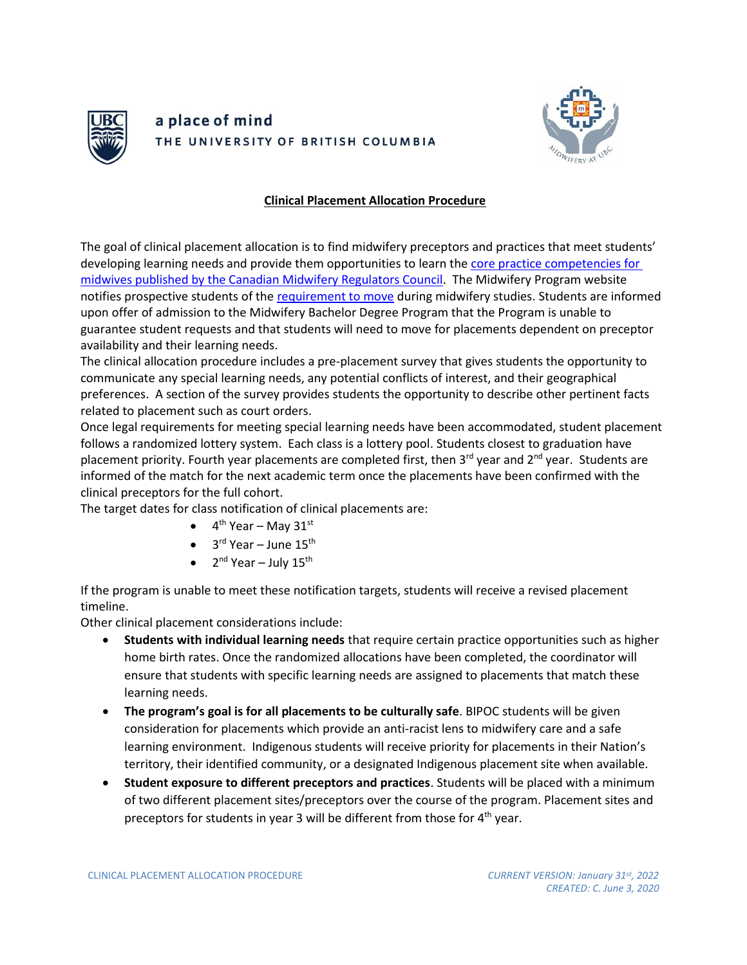

## a place of mind THE UNIVERSITY OF BRITISH COLUMBIA



## **Clinical Placement Allocation Procedure**

The goal of clinical placement allocation is to find midwifery preceptors and practices that meet students' developing learning needs and provide them opportunities to learn the [core practice competencies for](http://cmrc-ccosf.ca/midwifery-canada#competencies)  [midwives published by the Canadian Midwifery Regulators Council.](http://cmrc-ccosf.ca/midwifery-canada#competencies) The Midwifery Program website notifies prospective students of the [requirement to move](https://med-fom-midwifery.sites.olt.ubc.ca/files/2021/02/Clinical-Placement-Location.pdf) during midwifery studies. Students are informed upon offer of admission to the Midwifery Bachelor Degree Program that the Program is unable to guarantee student requests and that students will need to move for placements dependent on preceptor availability and their learning needs.

The clinical allocation procedure includes a pre-placement survey that gives students the opportunity to communicate any special learning needs, any potential conflicts of interest, and their geographical preferences. A section of the survey provides students the opportunity to describe other pertinent facts related to placement such as court orders.

Once legal requirements for meeting special learning needs have been accommodated, student placement follows a randomized lottery system. Each class is a lottery pool. Students closest to graduation have placement priority. Fourth year placements are completed first, then 3<sup>rd</sup> year and 2<sup>nd</sup> year. Students are informed of the match for the next academic term once the placements have been confirmed with the clinical preceptors for the full cohort.

The target dates for class notification of clinical placements are:

- $\bullet$  4<sup>th</sup> Year May 31<sup>st</sup>
- $\bullet$  3<sup>rd</sup> Year June 15<sup>th</sup>
- $2^{nd}$  Year July 15<sup>th</sup>

If the program is unable to meet these notification targets, students will receive a revised placement timeline.

Other clinical placement considerations include:

- **Students with individual learning needs** that require certain practice opportunities such as higher home birth rates. Once the randomized allocations have been completed, the coordinator will ensure that students with specific learning needs are assigned to placements that match these learning needs.
- **The program's goal is for all placements to be culturally safe**. BIPOC students will be given consideration for placements which provide an anti-racist lens to midwifery care and a safe learning environment. Indigenous students will receive priority for placements in their Nation's territory, their identified community, or a designated Indigenous placement site when available.
- **Student exposure to different preceptors and practices**. Students will be placed with a minimum of two different placement sites/preceptors over the course of the program. Placement sites and preceptors for students in year 3 will be different from those for  $4<sup>th</sup>$  year.